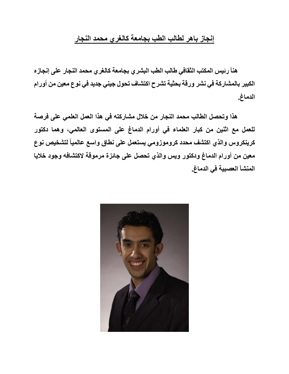## **إنجاز باهر لطالب الطب بجامعة كالغري محمد النجار**

**هنأ رئيس المكتب الثقافي طالب الطب البشري بجامعة كالغري محمد النجار على إنجازه الكبير بالمشاركة في نشر ورقة بحثية تشرح اكتشاف تحول جيني جديد في نوع معين من أورام الدماغ.**

**هذا وتحصل الطالب محمد النجار من خالل مشاركته في هذا العمل العلمي على فرصة للعمل مع اثنين من كبار العلماء في أورام الدماغ على المستوى العالمي، وهما دكتور كرينكروس والذي اكتشف محدد كروموزومي يستعمل على نطاق واسع عالمياً لتشخيص نوع معين من أورام الدماغ ودكتور ويس والذي تحصل على جائزة مرموقة الكتشافه وجود خاليا المنشأ العصبية في الدماغ.**